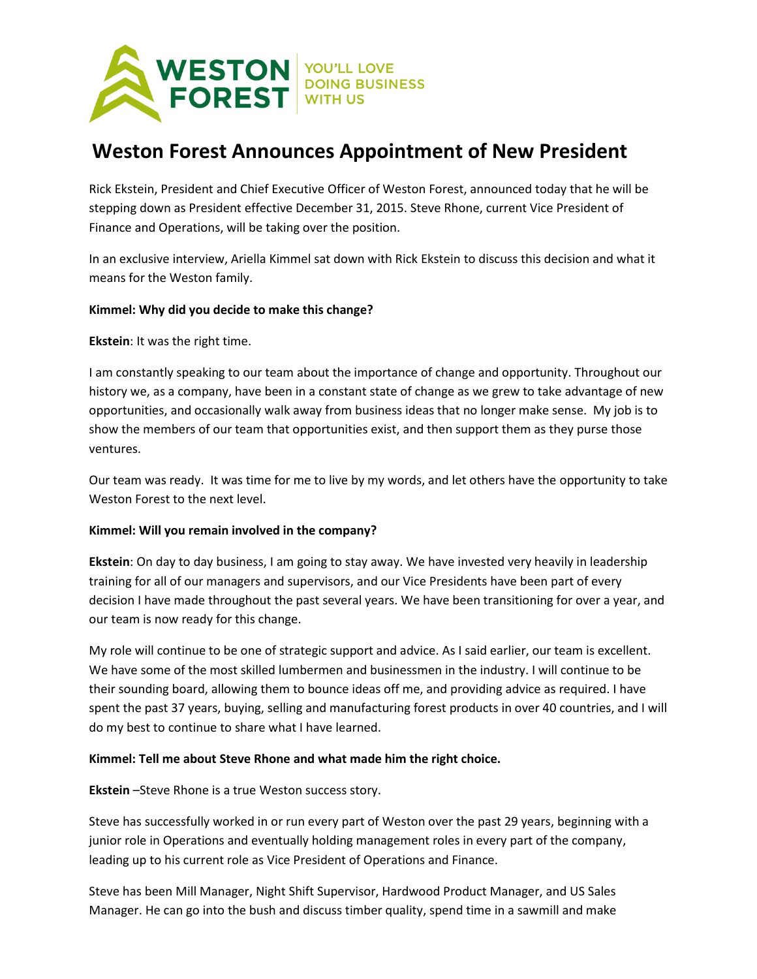

# **Weston Forest Announces Appointment of New President**

Rick Ekstein, President and Chief Executive Officer of Weston Forest, announced today that he will be stepping down as President effective December 31, 2015. Steve Rhone, current Vice President of Finance and Operations, will be taking over the position.

In an exclusive interview, Ariella Kimmel sat down with Rick Ekstein to discuss this decision and what it means for the Weston family.

## **Kimmel: Why did you decide to make this change?**

**Ekstein**: It was the right time.

I am constantly speaking to our team about the importance of change and opportunity. Throughout our history we, as a company, have been in a constant state of change as we grew to take advantage of new opportunities, and occasionally walk away from business ideas that no longer make sense. My job is to show the members of our team that opportunities exist, and then support them as they purse those ventures.

Our team was ready. It was time for me to live by my words, and let others have the opportunity to take Weston Forest to the next level.

## **Kimmel: Will you remain involved in the company?**

**Ekstein**: On day to day business, I am going to stay away. We have invested very heavily in leadership training for all of our managers and supervisors, and our Vice Presidents have been part of every decision I have made throughout the past several years. We have been transitioning for over a year, and our team is now ready for this change.

My role will continue to be one of strategic support and advice. As I said earlier, our team is excellent. We have some of the most skilled lumbermen and businessmen in the industry. I will continue to be their sounding board, allowing them to bounce ideas off me, and providing advice as required. I have spent the past 37 years, buying, selling and manufacturing forest products in over 40 countries, and I will do my best to continue to share what I have learned.

## **Kimmel: Tell me about Steve Rhone and what made him the right choice.**

## **Ekstein** –Steve Rhone is a true Weston success story.

Steve has successfully worked in or run every part of Weston over the past 29 years, beginning with a junior role in Operations and eventually holding management roles in every part of the company, leading up to his current role as Vice President of Operations and Finance.

Steve has been Mill Manager, Night Shift Supervisor, Hardwood Product Manager, and US Sales Manager. He can go into the bush and discuss timber quality, spend time in a sawmill and make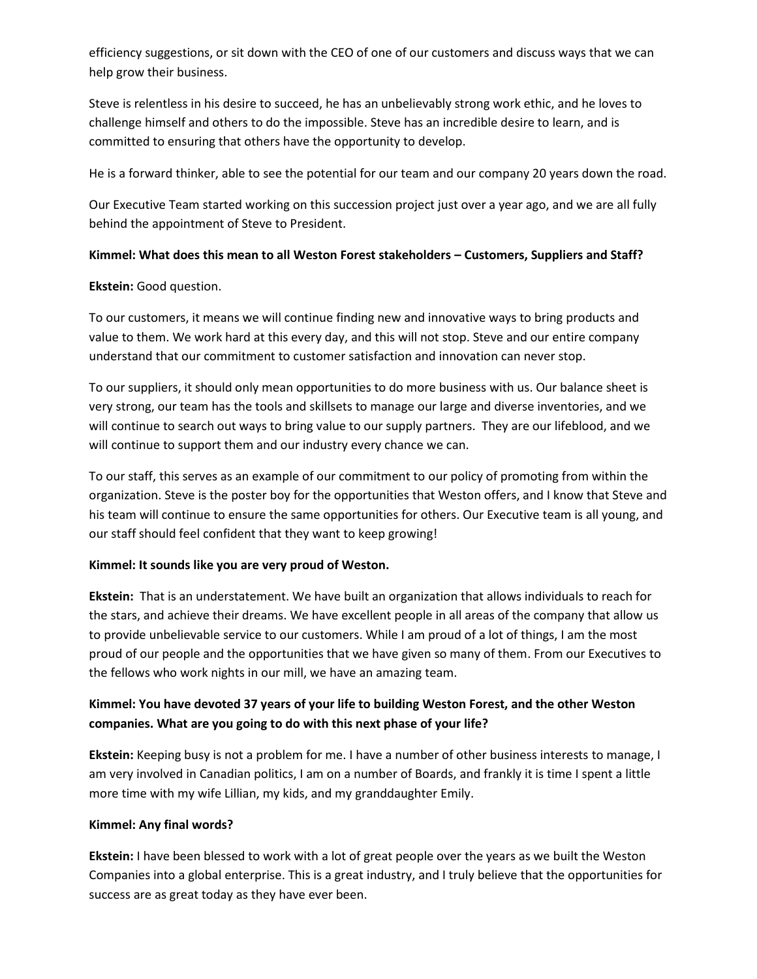efficiency suggestions, or sit down with the CEO of one of our customers and discuss ways that we can help grow their business.

Steve is relentless in his desire to succeed, he has an unbelievably strong work ethic, and he loves to challenge himself and others to do the impossible. Steve has an incredible desire to learn, and is committed to ensuring that others have the opportunity to develop.

He is a forward thinker, able to see the potential for our team and our company 20 years down the road.

Our Executive Team started working on this succession project just over a year ago, and we are all fully behind the appointment of Steve to President.

# **Kimmel: What does this mean to all Weston Forest stakeholders – Customers, Suppliers and Staff?**

# **Ekstein:** Good question.

To our customers, it means we will continue finding new and innovative ways to bring products and value to them. We work hard at this every day, and this will not stop. Steve and our entire company understand that our commitment to customer satisfaction and innovation can never stop.

To our suppliers, it should only mean opportunities to do more business with us. Our balance sheet is very strong, our team has the tools and skillsets to manage our large and diverse inventories, and we will continue to search out ways to bring value to our supply partners. They are our lifeblood, and we will continue to support them and our industry every chance we can.

To our staff, this serves as an example of our commitment to our policy of promoting from within the organization. Steve is the poster boy for the opportunities that Weston offers, and I know that Steve and his team will continue to ensure the same opportunities for others. Our Executive team is all young, and our staff should feel confident that they want to keep growing!

# **Kimmel: It sounds like you are very proud of Weston.**

**Ekstein:** That is an understatement. We have built an organization that allows individuals to reach for the stars, and achieve their dreams. We have excellent people in all areas of the company that allow us to provide unbelievable service to our customers. While I am proud of a lot of things, I am the most proud of our people and the opportunities that we have given so many of them. From our Executives to the fellows who work nights in our mill, we have an amazing team.

# **Kimmel: You have devoted 37 years of your life to building Weston Forest, and the other Weston companies. What are you going to do with this next phase of your life?**

**Ekstein:** Keeping busy is not a problem for me. I have a number of other business interests to manage, I am very involved in Canadian politics, I am on a number of Boards, and frankly it is time I spent a little more time with my wife Lillian, my kids, and my granddaughter Emily.

## **Kimmel: Any final words?**

**Ekstein:** I have been blessed to work with a lot of great people over the years as we built the Weston Companies into a global enterprise. This is a great industry, and I truly believe that the opportunities for success are as great today as they have ever been.